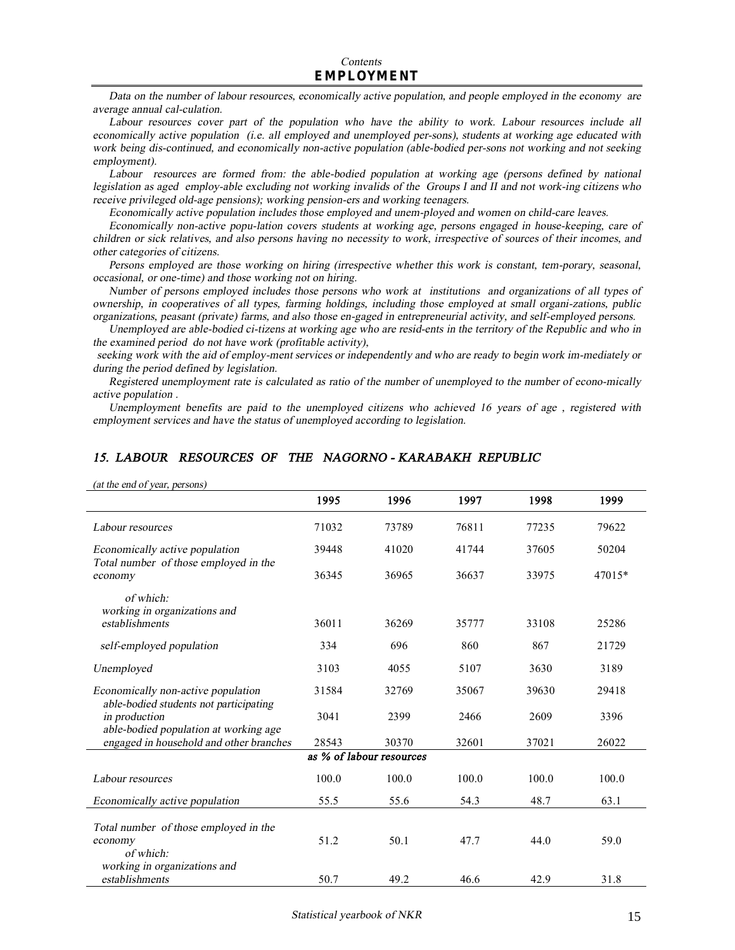Data on the number of labour resources, economically active population, and people employed in the economy are *average annual cal-culation.* 

*Labour resources cover part of the population who have the ability to work. Labour resources include all economically active population (i.e. all employed and unemployed per-sons), students at working age educated with work being dis-continued, and economically non-active population (able-bodied per-sons not working and not seeking employment).* 

*Labour resources are formed from: the able-bodied population at working age (persons defined by national*  legislation as aged employ-able excluding not working invalids of the Groups I and II and not work-ing citizens who *receive privileged old-age pensions); working pension-ers and working teenagers.* 

*Economically active population includes those employed and unem-ployed and women on child-care leaves.* 

*Economically non-active popu-lation covers students at working age, persons engaged in house-keeping, care of*  children or sick relatives, and also persons having no necessity to work, irrespective of sources of their incomes, and *other categories of citizens.* 

*Persons employed are those working on hiring (irrespective whether this work is constant, tem-porary, seasonal, occasional, or one-time) and those working not on hiring.* 

*Number of persons employed includes those persons who work at institutions and organizations of all types of ownership, in cooperatives of all types, farming holdings, including those employed at small organi-zations, public organizations, peasant (private) farms, and also those en-gaged in entrepreneurial activity, and self-employed persons.* 

Unemployed are able-bodied ci-tizens at working age who are resid-ents in the territory of the Republic and who in *the examined period do not have work (profitable activity),* 

seeking work with the aid of employ-ment services or independently and who are ready to begin work im-mediately or *during the period defined by legislation.* 

Registered unemployment rate is calculated as ratio of the number of unemployed to the number of econo-mically *active population .* 

*Unemployment benefits are paid to the unemployed citizens who achieved 16 years of age , registered with employment services and have the status of unemployed according to legislation.* 

| (at the end of year, persons)                                                    |       |                          |       |       |        |
|----------------------------------------------------------------------------------|-------|--------------------------|-------|-------|--------|
|                                                                                  | 1995  | 1996                     | 1997  | 1998  | 1999   |
| Labour resources                                                                 | 71032 | 73789                    | 76811 | 77235 | 79622  |
| Economically active population                                                   | 39448 | 41020                    | 41744 | 37605 | 50204  |
| Total number of those employed in the<br>economy                                 | 36345 | 36965                    | 36637 | 33975 | 47015* |
| of which:<br>working in organizations and                                        |       |                          |       |       |        |
| establishments                                                                   | 36011 | 36269                    | 35777 | 33108 | 25286  |
| self-employed population                                                         | 334   | 696                      | 860   | 867   | 21729  |
| Unemployed                                                                       | 3103  | 4055                     | 5107  | 3630  | 3189   |
| Economically non-active population<br>able-bodied students not participating     | 31584 | 32769                    | 35067 | 39630 | 29418  |
| in production                                                                    | 3041  | 2399                     | 2466  | 2609  | 3396   |
| able-bodied population at working age<br>engaged in household and other branches | 28543 | 30370                    | 32601 | 37021 | 26022  |
|                                                                                  |       | as % of labour resources |       |       |        |
| Labour resources                                                                 | 100.0 | 100.0                    | 100.0 | 100.0 | 100.0  |
| Economically active population                                                   | 55.5  | 55.6                     | 54.3  | 48.7  | 63.1   |
| Total number of those employed in the                                            |       |                          |       |       |        |
| economy<br>of which:                                                             | 51.2  | 50.1                     | 47.7  | 44.0  | 59.0   |
| working in organizations and                                                     |       |                          |       |       |        |
| establishments                                                                   | 50.7  | 49.2                     | 46.6  | 42.9  | 31.8   |

#### *15. LABOUR RESOURCES OF THE NAGORNO - KARABAKH REPUBLIC*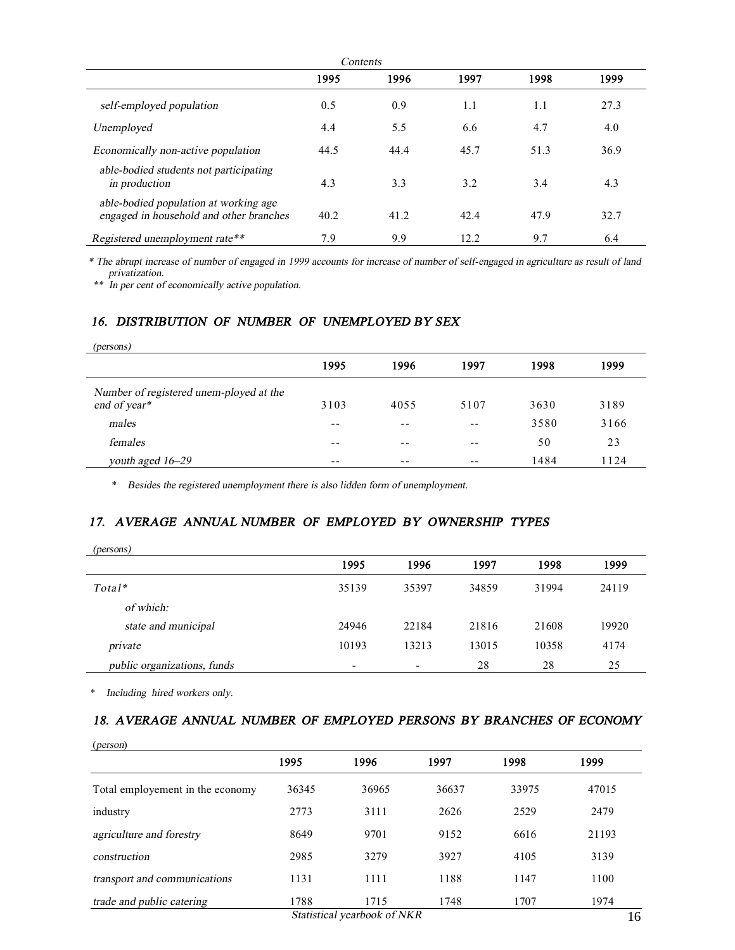| Contents                                                                         |      |      |      |      |      |  |
|----------------------------------------------------------------------------------|------|------|------|------|------|--|
|                                                                                  | 1995 | 1996 | 1997 | 1998 | 1999 |  |
| self-employed population                                                         | 0.5  | 0.9  | 1.1  | 1.1  | 27.3 |  |
| Unemployed                                                                       | 4.4  | 5.5  | 6.6  | 4.7  | 4.0  |  |
| Economically non-active population                                               | 44.5 | 44.4 | 45.7 | 51.3 | 36.9 |  |
| able-bodied students not participating<br>in production                          | 4.3  | 3.3  | 3.2  | 3.4  | 4.3  |  |
| able-bodied population at working age<br>engaged in household and other branches | 40.2 | 41.2 | 42.4 | 47.9 | 32.7 |  |
| Registered unemployment rate**                                                   | 7.9  | 9.9  | 12.2 | 9.7  | 6.4  |  |

\* The abrupt increase of number of engaged in 1999 accounts for increase of number of self-engaged in agriculture as result of land

*privatization. \*\* In per cent of economically active population.* 

#### *16. DISTRIBUTION OF NUMBER OF UNEMPLOYED BY SEX*

| (persons)                                               |       |      |       |      |      |
|---------------------------------------------------------|-------|------|-------|------|------|
|                                                         | 1995  | 1996 | 1997  | 1998 | 1999 |
| Number of registered unem-ployed at the<br>end of year* | 3103  | 4055 | 5107  | 3630 | 3189 |
| males                                                   | $- -$ | $ -$ | $- -$ | 3580 | 3166 |
| females                                                 | $- -$ | $ -$ | $- -$ | 50   | 23   |
| youth aged 16–29                                        | $- -$ | $ -$ | $- -$ | 1484 | 1124 |

\* *Besides the registered unemployment there is also lidden form of unemployment.* 

### *17. AVERAGE ANNUAL NUMBER OF EMPLOYED BY OWNERSHIP TYPES*

| (persons)                   |                          |       |       |       |       |
|-----------------------------|--------------------------|-------|-------|-------|-------|
|                             | 1995                     | 1996  | 1997  | 1998  | 1999  |
| $Total*$                    | 35139                    | 35397 | 34859 | 31994 | 24119 |
| of which:                   |                          |       |       |       |       |
| state and municipal         | 24946                    | 22184 | 21816 | 21608 | 19920 |
| private                     | 10193                    | 13213 | 13015 | 10358 | 4174  |
| public organizations, funds | $\overline{\phantom{0}}$ | ۰     | 28    | 28    | 25    |

\* *Including hired workers only.* 

## *18. AVERAGE ANNUAL NUMBER OF EMPLOYED PERSONS BY BRANCHES OF ECONOMY*

| (person)                         |       |                             |       |       |       |
|----------------------------------|-------|-----------------------------|-------|-------|-------|
|                                  | 1995  | 1996                        | 1997  | 1998  | 1999  |
| Total employement in the economy | 36345 | 36965                       | 36637 | 33975 | 47015 |
| industry                         | 2773  | 3111                        | 2626  | 2529  | 2479  |
| agriculture and forestry         | 8649  | 9701                        | 9152  | 6616  | 21193 |
| construction                     | 2985  | 3279                        | 3927  | 4105  | 3139  |
| transport and communications     | 1131  | 1111                        | 1188  | 1147  | 1100  |
| trade and public catering        | 1788  | 1715                        | 1748  | 1707  | 1974  |
|                                  |       | Statistical yearbook of NKR |       |       | 16    |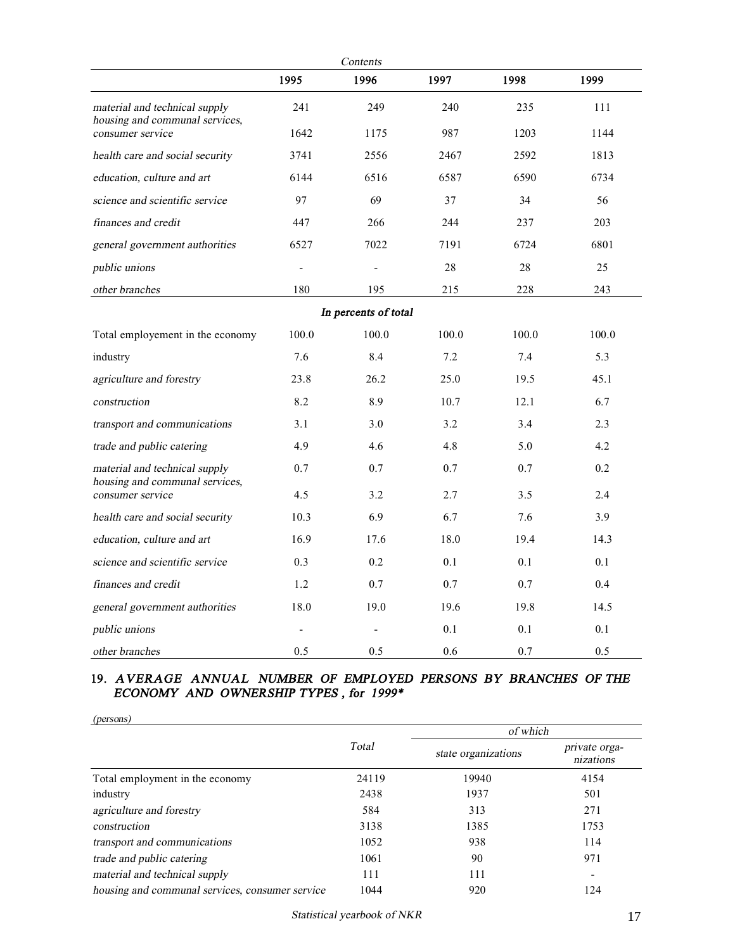| Contents                                                        |                |                      |       |       |       |  |
|-----------------------------------------------------------------|----------------|----------------------|-------|-------|-------|--|
|                                                                 | 1995           | 1996                 | 1997  | 1998  | 1999  |  |
| material and technical supply<br>housing and communal services, | 241            | 249                  | 240   | 235   | 111   |  |
| consumer service                                                | 1642           | 1175                 | 987   | 1203  | 1144  |  |
| health care and social security                                 | 3741           | 2556                 | 2467  | 2592  | 1813  |  |
| education, culture and art                                      | 6144           | 6516                 | 6587  | 6590  | 6734  |  |
| science and scientific service                                  | 97             | 69                   | 37    | 34    | 56    |  |
| finances and credit                                             | 447            | 266                  | 244   | 237   | 203   |  |
| general government authorities                                  | 6527           | 7022                 | 7191  | 6724  | 6801  |  |
| public unions                                                   |                |                      | 28    | 28    | 25    |  |
| other branches                                                  | 180            | 195                  | 215   | 228   | 243   |  |
|                                                                 |                | In percents of total |       |       |       |  |
| Total employement in the economy                                | 100.0          | 100.0                | 100.0 | 100.0 | 100.0 |  |
| industry                                                        | 7.6            | 8.4                  | 7.2   | 7.4   | 5.3   |  |
| agriculture and forestry                                        | 23.8           | 26.2                 | 25.0  | 19.5  | 45.1  |  |
| construction                                                    | 8.2            | 8.9                  | 10.7  | 12.1  | 6.7   |  |
| transport and communications                                    | 3.1            | 3.0                  | 3.2   | 3.4   | 2.3   |  |
| trade and public catering                                       | 4.9            | 4.6                  | 4.8   | 5.0   | 4.2   |  |
| material and technical supply<br>housing and communal services, | 0.7            | 0.7                  | 0.7   | 0.7   | 0.2   |  |
| consumer service                                                | 4.5            | 3.2                  | 2.7   | 3.5   | 2.4   |  |
| health care and social security                                 | 10.3           | 6.9                  | 6.7   | 7.6   | 3.9   |  |
| education, culture and art                                      | 16.9           | 17.6                 | 18.0  | 19.4  | 14.3  |  |
| science and scientific service                                  | 0.3            | 0.2                  | 0.1   | 0.1   | 0.1   |  |
| finances and credit                                             | 1.2            | 0.7                  | 0.7   | 0.7   | 0.4   |  |
| general government authorities                                  | 18.0           | 19.0                 | 19.6  | 19.8  | 14.5  |  |
| public unions                                                   | $\overline{a}$ |                      | 0.1   | 0.1   | 0.1   |  |
| other branches                                                  | 0.5            | 0.5                  | 0.6   | 0.7   | 0.5   |  |

#### **19.** *AVERAGE ANNUAL NUMBER OF EMPLOYED PERSONS BY BRANCHES OF THE ECONOMY AND OWNERSHIP TYPES , for 1999\**

| (persons)                                       |       |                     |                            |
|-------------------------------------------------|-------|---------------------|----------------------------|
|                                                 |       | of which            |                            |
|                                                 | Total | state organizations | private orga-<br>nizations |
| Total employment in the economy                 | 24119 | 19940               | 4154                       |
| industry                                        | 2438  | 1937                | 501                        |
| agriculture and forestry                        | 584   | 313                 | 271                        |
| construction                                    | 3138  | 1385                | 1753                       |
| transport and communications                    | 1052  | 938                 | 114                        |
| trade and public catering                       | 1061  | 90                  | 971                        |
| material and technical supply                   | 111   | 111                 |                            |
| housing and communal services, consumer service | 1044  | 920                 | 124                        |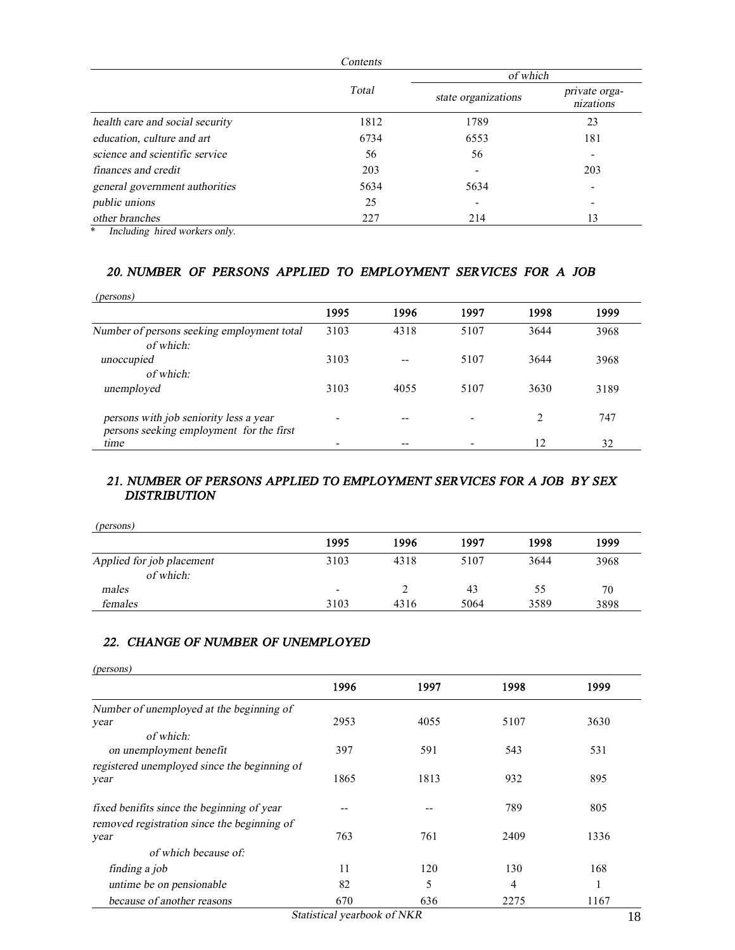|                                 | Contents |                     |                            |
|---------------------------------|----------|---------------------|----------------------------|
|                                 |          | of which            |                            |
|                                 | Total    | state organizations | private orga-<br>nizations |
| health care and social security | 1812     | 1789                | 23                         |
| education, culture and art      | 6734     | 6553                | 181                        |
| science and scientific service  | 56       | 56                  | $\overline{\phantom{0}}$   |
| finances and credit             | 203      |                     | 203                        |
| general government authorities  | 5634     | 5634                | $\overline{\phantom{0}}$   |
| public unions                   | 25       |                     | $\overline{\phantom{0}}$   |
| other branches                  | 227      | 214                 | 13                         |

\* *Including hired workers only.* 

## *20. NUMBER OF PERSONS APPLIED TO EMPLOYMENT SERVICES FOR A JOB*

| (persons)                                  |      |       |      |      |      |
|--------------------------------------------|------|-------|------|------|------|
|                                            | 1995 | 1996  | 1997 | 1998 | 1999 |
| Number of persons seeking employment total | 3103 | 4318  | 5107 | 3644 | 3968 |
| of which:                                  |      |       |      |      |      |
| unoccupied                                 | 3103 | $- -$ | 5107 | 3644 | 3968 |
| of which:                                  |      |       |      |      |      |
| unemployed                                 | 3103 | 4055  | 5107 | 3630 | 3189 |
| persons with job seniority less a year     | ٠    | --    |      |      | 747  |
| persons seeking employment for the first   |      |       |      |      |      |
| time                                       |      | --    |      | 12   | 32   |

### *21. NUMBER OF PERSONS APPLIED TO EMPLOYMENT SERVICES FOR A JOB BY SEX DISTRIBUTION*

| 1995                     | 1996 | 1997 | 1998 | 1999 |
|--------------------------|------|------|------|------|
| 3103                     | 4318 | 5107 | 3644 | 3968 |
| $\overline{\phantom{0}}$ |      | 43   | 55   | 70   |
| 3103                     | 4316 | 5064 | 3589 | 3898 |
|                          |      |      |      |      |

### *22. CHANGE OF NUMBER OF UNEMPLOYED*

| (persons)                                    |      |      |      |      |
|----------------------------------------------|------|------|------|------|
|                                              | 1996 | 1997 | 1998 | 1999 |
| Number of unemployed at the beginning of     |      |      |      |      |
| year                                         | 2953 | 4055 | 5107 | 3630 |
| of which:                                    |      |      |      |      |
| on unemployment benefit                      | 397  | 591  | 543  | 531  |
| registered unemployed since the beginning of |      |      |      |      |
| year                                         | 1865 | 1813 | 932  | 895  |
| fixed benifits since the beginning of year   | --   |      | 789  | 805  |
| removed registration since the beginning of  |      |      |      |      |
| year                                         | 763  | 761  | 2409 | 1336 |
| of which because of:                         |      |      |      |      |
| finding a job                                | 11   | 120  | 130  | 168  |
| untime be on pensionable                     | 82   | 5    | 4    |      |
| because of another reasons                   | 670  | 636  | 2275 | 1167 |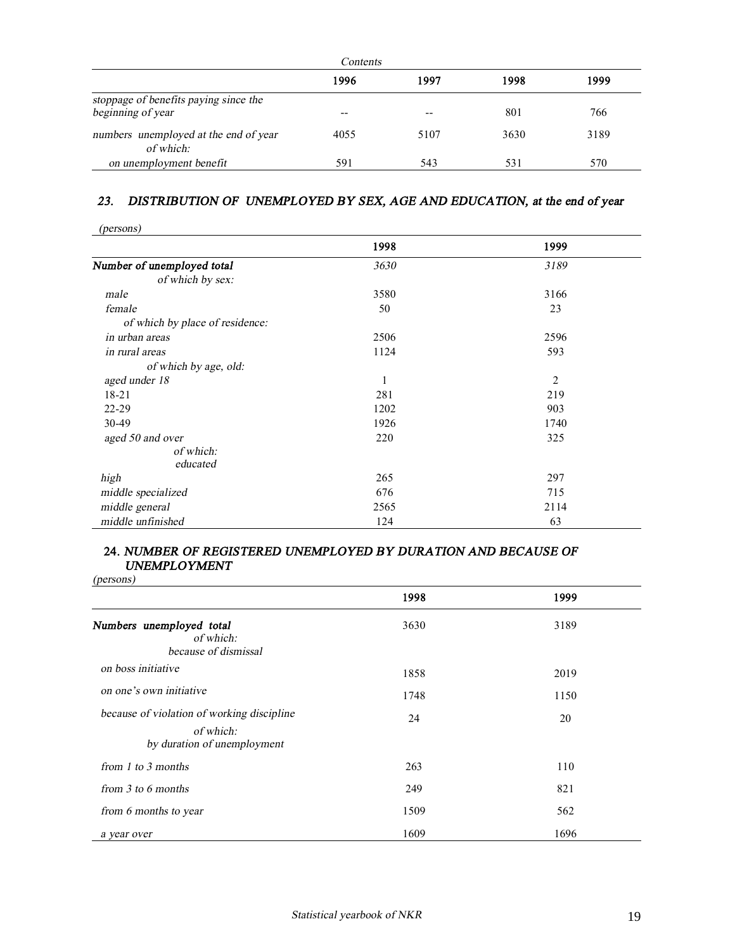| Contents                                                   |       |      |      |      |
|------------------------------------------------------------|-------|------|------|------|
|                                                            | 1996  | 1997 | 1998 | 1999 |
| stoppage of benefits paying since the<br>beginning of year | $- -$ | --   | 801  | 766  |
| numbers unemployed at the end of year<br>of which:         | 4055  | 5107 | 3630 | 3189 |
| on unemployment benefit                                    | 591   | 543  | 531  | 570  |

# *23. DISTRIBUTION OF UNEMPLOYED BY SEX, AGE AND EDUCATION, at the end of year*

| (persons)                       |      |                |  |
|---------------------------------|------|----------------|--|
|                                 | 1998 | 1999           |  |
| Number of unemployed total      | 3630 | 3189           |  |
| of which by sex:                |      |                |  |
| male                            | 3580 | 3166           |  |
| female                          | 50   | 23             |  |
| of which by place of residence: |      |                |  |
| in urban areas                  | 2506 | 2596           |  |
| in rural areas                  | 1124 | 593            |  |
| of which by age, old:           |      |                |  |
| aged under 18                   | 1    | $\overline{2}$ |  |
| $18 - 21$                       | 281  | 219            |  |
| $22 - 29$                       | 1202 | 903            |  |
| 30-49                           | 1926 | 1740           |  |
| aged 50 and over                | 220  | 325            |  |
| of which:                       |      |                |  |
| educated                        |      |                |  |
| high                            | 265  | 297            |  |
| middle specialized              | 676  | 715            |  |
| middle general                  | 2565 | 2114           |  |
| middle unfinished               | 124  | 63             |  |

#### **24.** *NUMBER OF REGISTERED UNEMPLOYED BY DURATION AND BECAUSE OF UNEMPLOYMENT*

*(persons)* 

| $V^{222222}$                                                                           |      |      |
|----------------------------------------------------------------------------------------|------|------|
|                                                                                        | 1998 | 1999 |
| Numbers unemployed total<br>of which:<br>because of dismissal                          | 3630 | 3189 |
| on boss initiative                                                                     | 1858 | 2019 |
| on one's own initiative                                                                | 1748 | 1150 |
| because of violation of working discipline<br>of which:<br>by duration of unemployment | 24   | 20   |
| from 1 to 3 months                                                                     | 263  | 110  |
| from $3$ to 6 months                                                                   | 249  | 821  |
| from 6 months to year                                                                  | 1509 | 562  |
| a year over                                                                            | 1609 | 1696 |